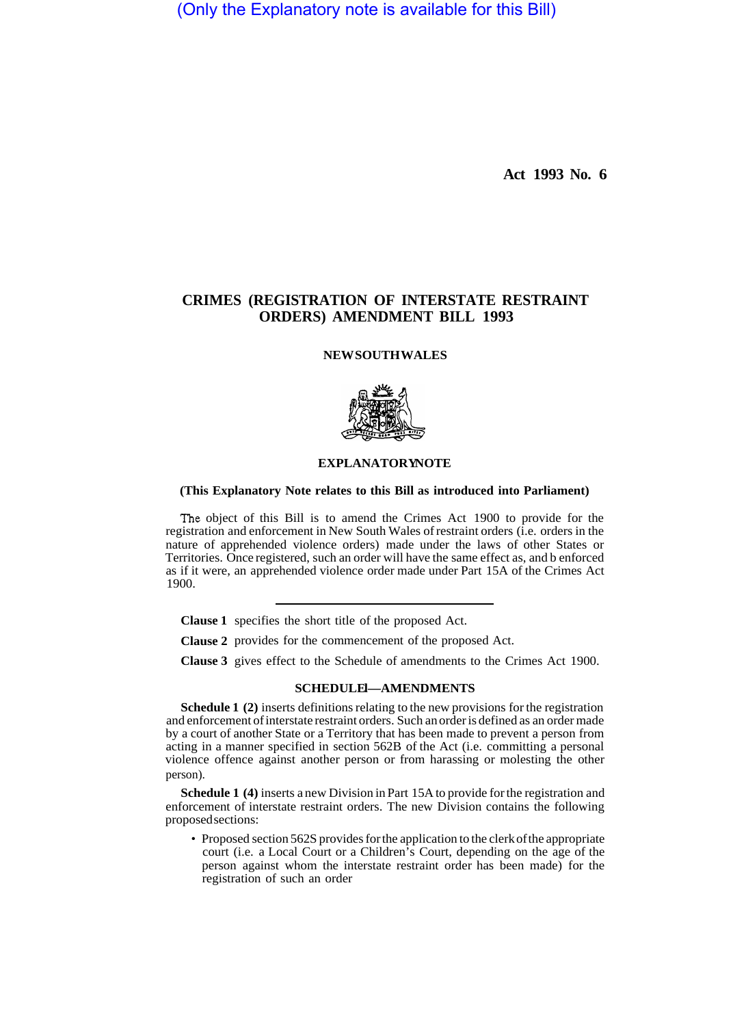(Only the Explanatory note is available for this Bill)

**Act 1993 No. 6** 

# **CRIMES (REGISTRATION OF INTERSTATE RESTRAINT ORDERS) AMENDMENT BILL 1993**

### **NEW SOUTH WALES**



## **EXPLANATORY NOTE**

## **(This Explanatory Note relates to this Bill as introduced into Parliament)**

The object of this Bill is to amend the Crimes Act 1900 to provide for the registration and enforcement in New South Wales of restraint orders (i.e. orders in the nature of apprehended violence orders) made under the laws of other States or Territories. Once registered, such an order will have the same effect as, and b enforced as if it were, an apprehended violence order made under Part 15A of the Crimes Act 1900.

**Clause 1**  specifies the short title of the proposed Act.

**Clause 2**  provides for the commencement of the proposed Act.

**Clause 3**  gives effect to the Schedule of amendments to the Crimes Act 1900.

#### **SCHEDULEI-AMENDMENTS**

**Schedule 1 (2)** inserts definitions relating to the new provisions for the registration and enforcement of interstate restraint orders. Such an order is defined as an order made by a court of another State or a Territory that has been made to prevent a person from acting in a manner specified in section 562B of the Act (i.e. committing a personal violence offence against another person or from harassing or molesting the other person).

**Schedule 1 (4)** inserts a new Division in Part 15A to provide for the registration and enforcement of interstate restraint orders. The new Division contains the following proposed sections:

• Proposed section 562S provides for the application to the clerk of the appropriate court (i.e. a Local Court or a Children's Court, depending on the age of the person against whom the interstate restraint order has been made) for the registration of such an order